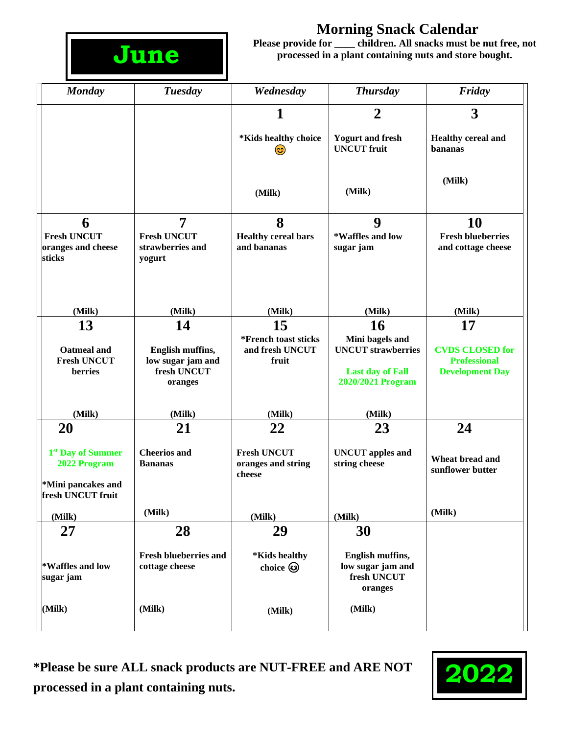

## **Morning Snack Calendar**

**Please provide for \_\_\_\_ children. All snacks must be nut free, not processed in a plant containing nuts and store bought.** 

| <b>Monday</b>                                      | <b>Tuesday</b>                                       | Wednesday                                          | <b>Thursday</b>                                                         | Friday                                                                  |
|----------------------------------------------------|------------------------------------------------------|----------------------------------------------------|-------------------------------------------------------------------------|-------------------------------------------------------------------------|
|                                                    |                                                      | 1                                                  | $\overline{2}$                                                          | 3                                                                       |
|                                                    |                                                      | *Kids healthy choice<br>ೞ                          | <b>Yogurt and fresh</b><br><b>UNCUT</b> fruit                           | <b>Healthy cereal and</b><br>bananas                                    |
|                                                    |                                                      | (Milk)                                             | (Milk)                                                                  | (Milk)                                                                  |
| 6                                                  | $\overline{7}$                                       | 8                                                  | 9                                                                       | 10                                                                      |
| <b>Fresh UNCUT</b><br>oranges and cheese<br>sticks | <b>Fresh UNCUT</b><br>strawberries and<br>yogurt     | <b>Healthy cereal bars</b><br>and bananas          | *Waffles and low<br>sugar jam                                           | <b>Fresh blueberries</b><br>and cottage cheese                          |
| (Milk)                                             | (Milk)                                               | (Milk)                                             | (Milk)                                                                  | (Milk)                                                                  |
| 13                                                 | 14                                                   | 15                                                 | 16                                                                      | 17                                                                      |
| Oatmeal and<br><b>Fresh UNCUT</b><br>berries       | English muffins,<br>low sugar jam and<br>fresh UNCUT | *French toast sticks<br>and fresh UNCUT<br>fruit   | Mini bagels and<br><b>UNCUT</b> strawberries<br><b>Last day of Fall</b> | <b>CVDS CLOSED for</b><br><b>Professional</b><br><b>Development Day</b> |
|                                                    | oranges                                              |                                                    | 2020/2021 Program                                                       |                                                                         |
| (Milk)                                             | (Milk)                                               | (Milk)                                             | (Milk)                                                                  |                                                                         |
| 20                                                 | 21                                                   | 22                                                 | 23                                                                      | 24                                                                      |
| 1 <sup>st</sup> Day of Summer<br>2022 Program      | <b>Cheerios</b> and<br><b>Bananas</b>                | <b>Fresh UNCUT</b><br>oranges and string<br>cheese | <b>UNCUT</b> apples and<br>string cheese                                | Wheat bread and<br>sunflower butter                                     |
| *Mini pancakes and<br>fresh UNCUT fruit            |                                                      |                                                    |                                                                         |                                                                         |
| (Milk)                                             | (Milk)                                               | (Milk)                                             | (Milk)                                                                  | (Milk)                                                                  |
| 27                                                 | 28                                                   | 29                                                 | 30                                                                      |                                                                         |
| *Waffles and low<br>sugar jam                      | <b>Fresh blueberries and</b><br>cottage cheese       | *Kids healthy<br>choice <b>o</b>                   | English muffins,<br>low sugar jam and<br>fresh UNCUT<br>oranges         |                                                                         |
| (Milk)                                             | (Milk)                                               | (Milk)                                             | (Milk)                                                                  |                                                                         |

**\*Please be sure ALL snack products are NUT-FREE and ARE NOT processed in a plant containing nuts.**